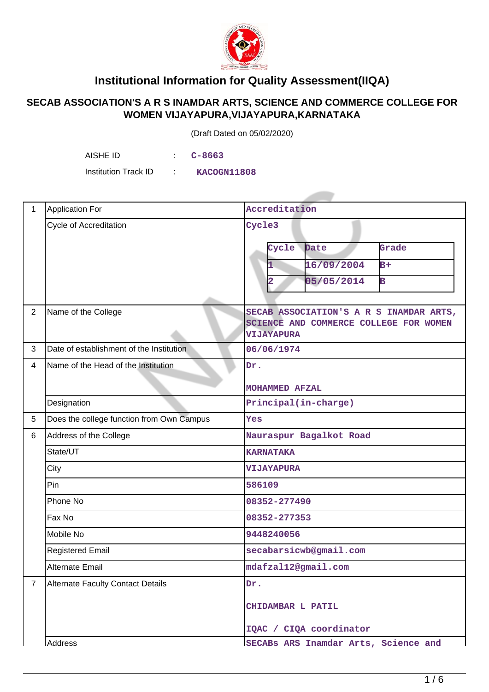

## **Institutional Information for Quality Assessment(IIQA)**

## **SECAB ASSOCIATION'S A R S INAMDAR ARTS, SCIENCE AND COMMERCE COLLEGE FOR WOMEN VIJAYAPURA,VIJAYAPURA,KARNATAKA**

(Draft Dated on 05/02/2020)

AISHE ID : **C-8663**

Institution Track ID : **KACOGN11808**

| $\mathbf{1}$   | <b>Application For</b>                    | Accreditation                                                                                          |  |  |
|----------------|-------------------------------------------|--------------------------------------------------------------------------------------------------------|--|--|
|                | <b>Cycle of Accreditation</b>             | Cycle3                                                                                                 |  |  |
|                |                                           | Cycle<br>Date<br>Grade                                                                                 |  |  |
|                |                                           | 16/09/2004<br>$B+$                                                                                     |  |  |
|                |                                           | 05/05/2014<br>B                                                                                        |  |  |
|                |                                           | $\overline{\mathbf{2}}$                                                                                |  |  |
| $\overline{2}$ | Name of the College                       | SECAB ASSOCIATION'S A R S INAMDAR ARTS,<br>SCIENCE AND COMMERCE COLLEGE FOR WOMEN<br><b>VIJAYAPURA</b> |  |  |
| 3              | Date of establishment of the Institution  | 06/06/1974                                                                                             |  |  |
| $\overline{4}$ | Name of the Head of the Institution       | Dr.                                                                                                    |  |  |
|                |                                           | MOHAMMED AFZAL                                                                                         |  |  |
|                | Designation                               | Principal(in-charge)                                                                                   |  |  |
| 5              | Does the college function from Own Campus | Yes                                                                                                    |  |  |
| 6              | Address of the College                    | Nauraspur Bagalkot Road                                                                                |  |  |
|                | State/UT                                  | <b>KARNATAKA</b>                                                                                       |  |  |
|                | City                                      | <b>VIJAYAPURA</b>                                                                                      |  |  |
|                | Pin                                       | 586109                                                                                                 |  |  |
|                | Phone No                                  | 08352-277490                                                                                           |  |  |
|                | Fax No                                    | 08352-277353                                                                                           |  |  |
|                | Mobile No                                 | 9448240056                                                                                             |  |  |
|                | <b>Registered Email</b>                   | secabarsicwb@gmail.com                                                                                 |  |  |
|                | Alternate Email                           | mdafzal12@gmail.com                                                                                    |  |  |
| $7^{\circ}$    | <b>Alternate Faculty Contact Details</b>  | Dr.                                                                                                    |  |  |
|                |                                           | CHIDAMBAR L PATIL                                                                                      |  |  |
|                |                                           | IQAC / CIQA coordinator                                                                                |  |  |
|                | Address                                   | ISECABS ARS Inamdar Arts, Science and                                                                  |  |  |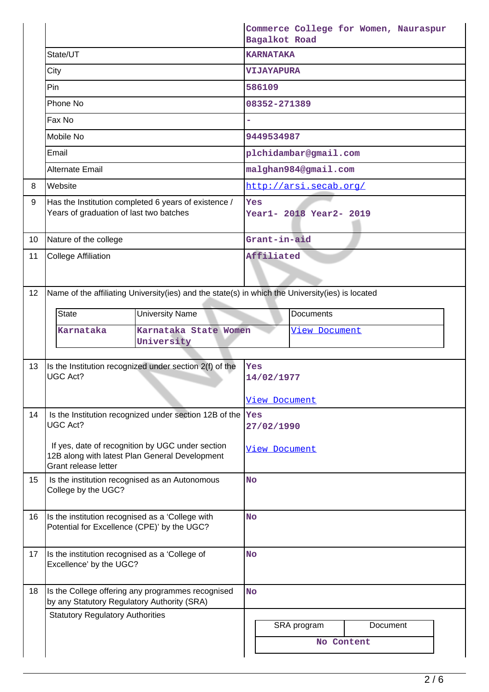|                 |                                                                                                 |                                                                                                    | Bagalkot Road                  |                        | Commerce College for Women, Nauraspur |  |
|-----------------|-------------------------------------------------------------------------------------------------|----------------------------------------------------------------------------------------------------|--------------------------------|------------------------|---------------------------------------|--|
|                 | State/UT                                                                                        |                                                                                                    | <b>KARNATAKA</b>               |                        |                                       |  |
|                 | City                                                                                            |                                                                                                    | <b>VIJAYAPURA</b>              |                        |                                       |  |
|                 | Pin                                                                                             |                                                                                                    | 586109                         |                        |                                       |  |
|                 | Phone No                                                                                        |                                                                                                    | 08352-271389                   |                        |                                       |  |
|                 | Fax No                                                                                          |                                                                                                    |                                |                        |                                       |  |
|                 | Mobile No                                                                                       |                                                                                                    | 9449534987                     |                        |                                       |  |
|                 | Email                                                                                           |                                                                                                    |                                | plchidambar@gmail.com  |                                       |  |
|                 | <b>Alternate Email</b>                                                                          |                                                                                                    |                                | malghan984@gmail.com   |                                       |  |
| 8               | Website                                                                                         |                                                                                                    |                                | http://arsi.secab.org/ |                                       |  |
| 9               | Has the Institution completed 6 years of existence /<br>Years of graduation of last two batches |                                                                                                    | Yes<br>Year1- 2018 Year2- 2019 |                        |                                       |  |
| 10 <sup>°</sup> | Nature of the college                                                                           |                                                                                                    | Grant-in-aid                   |                        |                                       |  |
| 11              | <b>College Affiliation</b>                                                                      |                                                                                                    | Affiliated                     |                        |                                       |  |
| 12              |                                                                                                 | Name of the affiliating University(ies) and the state(s) in which the University(ies) is located   |                                |                        |                                       |  |
|                 | <b>State</b>                                                                                    | <b>University Name</b>                                                                             |                                | <b>Documents</b>       |                                       |  |
|                 | Karnataka                                                                                       | Karnataka State Women                                                                              |                                | <u>View Document</u>   |                                       |  |
|                 |                                                                                                 | University                                                                                         |                                |                        |                                       |  |
| 13              |                                                                                                 | Is the Institution recognized under section 2(f) of the                                            | Yes                            |                        |                                       |  |
|                 | <b>UGC Act?</b>                                                                                 |                                                                                                    | 14/02/1977                     |                        |                                       |  |
|                 |                                                                                                 |                                                                                                    | <u>View Document</u>           |                        |                                       |  |
| 14              | UGC Act?                                                                                        | Is the Institution recognized under section 12B of the  Yes                                        |                                |                        |                                       |  |
|                 |                                                                                                 |                                                                                                    | 27/02/1990                     |                        |                                       |  |
|                 | Grant release letter                                                                            | If yes, date of recognition by UGC under section<br>12B along with latest Plan General Development | View Document                  |                        |                                       |  |
| 15              | Is the institution recognised as an Autonomous                                                  |                                                                                                    | <b>No</b>                      |                        |                                       |  |
|                 | College by the UGC?                                                                             |                                                                                                    |                                |                        |                                       |  |
| 16              |                                                                                                 |                                                                                                    | <b>No</b>                      |                        |                                       |  |
|                 | Is the institution recognised as a 'College with<br>Potential for Excellence (CPE)' by the UGC? |                                                                                                    |                                |                        |                                       |  |
| 17              | Is the institution recognised as a 'College of<br>Excellence' by the UGC?                       |                                                                                                    | <b>No</b>                      |                        |                                       |  |
| 18              | by any Statutory Regulatory Authority (SRA)                                                     | Is the College offering any programmes recognised                                                  | <b>No</b>                      |                        |                                       |  |
|                 | <b>Statutory Regulatory Authorities</b>                                                         |                                                                                                    |                                |                        |                                       |  |
|                 |                                                                                                 |                                                                                                    |                                | SRA program            | Document                              |  |
|                 |                                                                                                 |                                                                                                    |                                | No Content             |                                       |  |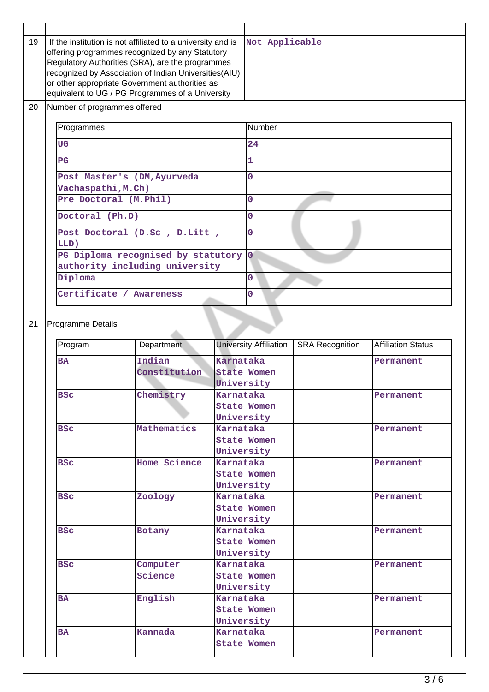| 19 | If the institution is not affiliated to a university and is<br>offering programmes recognized by any Statutory<br>Regulatory Authorities (SRA), are the programmes<br>recognized by Association of Indian Universities(AIU)<br>or other appropriate Government authorities as<br>equivalent to UG / PG Programmes of a University |                                | Not Applicable       |                               |                        |                           |
|----|-----------------------------------------------------------------------------------------------------------------------------------------------------------------------------------------------------------------------------------------------------------------------------------------------------------------------------------|--------------------------------|----------------------|-------------------------------|------------------------|---------------------------|
| 20 | Number of programmes offered                                                                                                                                                                                                                                                                                                      |                                |                      |                               |                        |                           |
|    | Programmes                                                                                                                                                                                                                                                                                                                        |                                | Number               |                               |                        |                           |
|    | <b>UG</b><br>PG<br>Post Master's (DM, Ayurveda<br>Vachaspathi, M.Ch)<br>Pre Doctoral (M.Phil)<br>Doctoral (Ph.D)<br>Post Doctoral (D.Sc , D.Litt ,<br>LLD)<br>PG Diploma recognised by statutory                                                                                                                                  |                                | 24<br>$\overline{1}$ |                               |                        |                           |
|    |                                                                                                                                                                                                                                                                                                                                   |                                |                      |                               |                        |                           |
|    |                                                                                                                                                                                                                                                                                                                                   |                                | $\overline{0}$       |                               |                        |                           |
|    |                                                                                                                                                                                                                                                                                                                                   |                                |                      |                               |                        |                           |
|    |                                                                                                                                                                                                                                                                                                                                   |                                | $\overline{0}$       |                               |                        |                           |
|    |                                                                                                                                                                                                                                                                                                                                   |                                | $\overline{0}$       |                               |                        |                           |
|    |                                                                                                                                                                                                                                                                                                                                   |                                | $\overline{0}$       |                               |                        |                           |
|    |                                                                                                                                                                                                                                                                                                                                   |                                | $\overline{0}$       |                               |                        |                           |
|    |                                                                                                                                                                                                                                                                                                                                   | authority including university |                      |                               |                        |                           |
|    | Diploma<br>Certificate / Awareness                                                                                                                                                                                                                                                                                                |                                | $\Omega$             |                               |                        |                           |
|    |                                                                                                                                                                                                                                                                                                                                   |                                | 0                    |                               |                        |                           |
|    |                                                                                                                                                                                                                                                                                                                                   |                                |                      |                               |                        |                           |
|    |                                                                                                                                                                                                                                                                                                                                   |                                |                      |                               |                        |                           |
|    |                                                                                                                                                                                                                                                                                                                                   |                                |                      |                               |                        |                           |
| 21 | Programme Details                                                                                                                                                                                                                                                                                                                 |                                |                      |                               |                        |                           |
|    | Program                                                                                                                                                                                                                                                                                                                           | Department                     |                      | <b>University Affiliation</b> | <b>SRA Recognition</b> | <b>Affiliation Status</b> |
|    | <b>BA</b>                                                                                                                                                                                                                                                                                                                         | Indian                         | Karnataka            |                               |                        | Permanent                 |
|    |                                                                                                                                                                                                                                                                                                                                   | Constitution                   |                      | State Women                   |                        |                           |
|    |                                                                                                                                                                                                                                                                                                                                   |                                | University           |                               |                        |                           |
|    | <b>BSC</b>                                                                                                                                                                                                                                                                                                                        | Chemistry                      | Karnataka            |                               |                        | Permanent                 |
|    |                                                                                                                                                                                                                                                                                                                                   |                                |                      | State Women                   |                        |                           |
|    | <b>BSC</b>                                                                                                                                                                                                                                                                                                                        | Mathematics                    | Karnataka            | University                    |                        | Permanent                 |
|    |                                                                                                                                                                                                                                                                                                                                   |                                |                      | <b>State Women</b>            |                        |                           |
|    |                                                                                                                                                                                                                                                                                                                                   |                                |                      | University                    |                        |                           |
|    | <b>BSC</b>                                                                                                                                                                                                                                                                                                                        | Home Science                   | Karnataka            |                               |                        | Permanent                 |
|    |                                                                                                                                                                                                                                                                                                                                   |                                |                      | State Women                   |                        |                           |
|    |                                                                                                                                                                                                                                                                                                                                   |                                |                      | University                    |                        |                           |
|    | <b>BSC</b>                                                                                                                                                                                                                                                                                                                        | Zoology                        | Karnataka            |                               |                        | Permanent                 |
|    |                                                                                                                                                                                                                                                                                                                                   |                                |                      | <b>State Women</b>            |                        |                           |
|    |                                                                                                                                                                                                                                                                                                                                   |                                |                      | University                    |                        |                           |
|    | <b>BSC</b>                                                                                                                                                                                                                                                                                                                        | Botany                         | Karnataka            |                               |                        | Permanent                 |
|    |                                                                                                                                                                                                                                                                                                                                   |                                |                      | <b>State Women</b>            |                        |                           |
|    | <b>BSC</b>                                                                                                                                                                                                                                                                                                                        | Computer                       | Karnataka            | University                    |                        | Permanent                 |
|    |                                                                                                                                                                                                                                                                                                                                   | Science                        |                      | <b>State Women</b>            |                        |                           |
|    |                                                                                                                                                                                                                                                                                                                                   |                                |                      | University                    |                        |                           |
|    | <b>BA</b>                                                                                                                                                                                                                                                                                                                         | English                        | Karnataka            |                               |                        | Permanent                 |
|    |                                                                                                                                                                                                                                                                                                                                   |                                |                      | <b>State Women</b>            |                        |                           |
|    |                                                                                                                                                                                                                                                                                                                                   |                                |                      | University                    |                        |                           |
|    | <b>BA</b>                                                                                                                                                                                                                                                                                                                         | Kannada                        | Karnataka            |                               |                        | Permanent                 |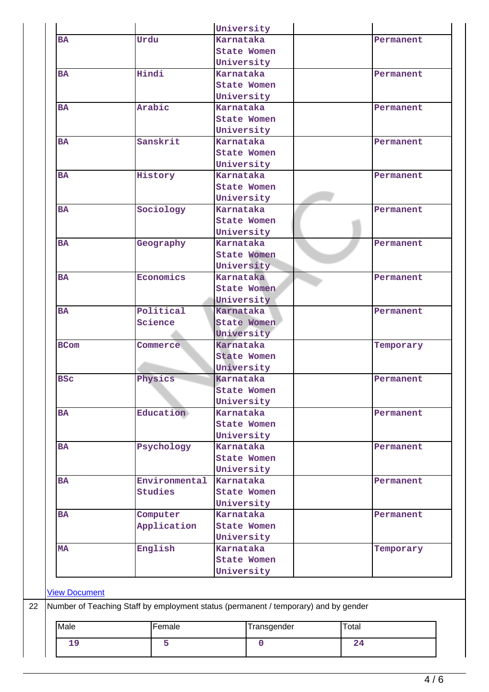|                                     |                                                                                     | University         |           |
|-------------------------------------|-------------------------------------------------------------------------------------|--------------------|-----------|
| <b>BA</b>                           | Urdu                                                                                | Karnataka          | Permanent |
|                                     |                                                                                     | <b>State Women</b> |           |
|                                     |                                                                                     | University         |           |
| <b>BA</b>                           | Hindi                                                                               | Karnataka          | Permanent |
|                                     |                                                                                     | State Women        |           |
|                                     |                                                                                     | University         |           |
| <b>BA</b>                           | Arabic                                                                              | Karnataka          | Permanent |
|                                     |                                                                                     | <b>State Women</b> |           |
|                                     |                                                                                     | University         |           |
| <b>BA</b>                           | Sanskrit                                                                            | Karnataka          | Permanent |
|                                     |                                                                                     | State Women        |           |
|                                     |                                                                                     | University         |           |
| <b>BA</b>                           | History                                                                             | Karnataka          | Permanent |
|                                     |                                                                                     | <b>State Women</b> |           |
|                                     |                                                                                     | University         |           |
| <b>BA</b>                           | Sociology                                                                           | Karnataka          | Permanent |
|                                     |                                                                                     | <b>State Women</b> |           |
|                                     |                                                                                     | University         |           |
| <b>BA</b>                           | Geography                                                                           | Karnataka          | Permanent |
|                                     |                                                                                     | <b>State Women</b> |           |
|                                     |                                                                                     | University         |           |
| <b>BA</b>                           | Economics                                                                           | Karnataka          | Permanent |
|                                     |                                                                                     | <b>State Women</b> |           |
|                                     |                                                                                     | University         |           |
| <b>BA</b>                           | Political                                                                           | Karnataka          | Permanent |
|                                     | Science                                                                             | <b>State Women</b> |           |
|                                     |                                                                                     | University         |           |
| <b>BCom</b>                         | Commerce                                                                            | Karnataka          | Temporary |
|                                     |                                                                                     | State Women        |           |
|                                     |                                                                                     | University         |           |
| <b>BSC</b>                          | Physics                                                                             | Karnataka          | Permanent |
|                                     |                                                                                     | <b>State Women</b> |           |
|                                     |                                                                                     | University         |           |
| <b>BA</b>                           | Education                                                                           | Karnataka          | Permanent |
|                                     |                                                                                     | <b>State Women</b> |           |
|                                     |                                                                                     | University         |           |
| <b>BA</b>                           | Psychology                                                                          | <b>Karnataka</b>   | Permanent |
|                                     |                                                                                     | <b>State Women</b> |           |
|                                     |                                                                                     | University         |           |
| <b>BA</b>                           | Environmental                                                                       | Karnataka          | Permanent |
|                                     | <b>Studies</b>                                                                      | <b>State Women</b> |           |
|                                     |                                                                                     | University         |           |
| <b>BA</b>                           | Computer                                                                            | <b>Karnataka</b>   | Permanent |
|                                     |                                                                                     |                    |           |
|                                     | Application                                                                         | <b>State Women</b> |           |
|                                     |                                                                                     | University         |           |
| <b>MA</b>                           | English                                                                             | Karnataka          | Temporary |
|                                     |                                                                                     | <b>State Women</b> |           |
|                                     |                                                                                     | University         |           |
|                                     |                                                                                     |                    |           |
|                                     |                                                                                     |                    |           |
|                                     |                                                                                     |                    |           |
|                                     | Number of Teaching Staff by employment status (permanent / temporary) and by gender |                    |           |
| <b>View Document</b><br><b>Male</b> | Female                                                                              | Transgender        | Total     |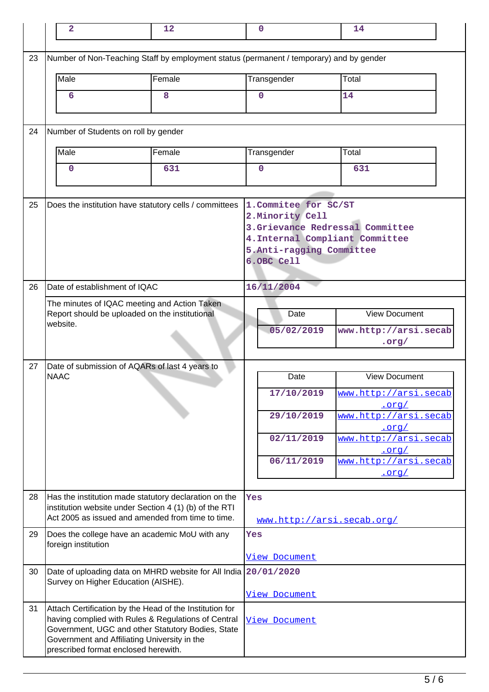|    | $\mathbf{2}$                                                                            | 12                                                                                                                                                                                                                  | $\mathbf 0$                                                                                                                                                | 14                                                           |  |  |
|----|-----------------------------------------------------------------------------------------|---------------------------------------------------------------------------------------------------------------------------------------------------------------------------------------------------------------------|------------------------------------------------------------------------------------------------------------------------------------------------------------|--------------------------------------------------------------|--|--|
| 23 | Number of Non-Teaching Staff by employment status (permanent / temporary) and by gender |                                                                                                                                                                                                                     |                                                                                                                                                            |                                                              |  |  |
|    | Male                                                                                    | Female                                                                                                                                                                                                              | Transgender                                                                                                                                                | Total                                                        |  |  |
|    | 6                                                                                       | 8                                                                                                                                                                                                                   | $\mathbf 0$                                                                                                                                                | 14                                                           |  |  |
| 24 | Number of Students on roll by gender                                                    |                                                                                                                                                                                                                     |                                                                                                                                                            |                                                              |  |  |
|    | Male                                                                                    | Female                                                                                                                                                                                                              | Transgender                                                                                                                                                | Total                                                        |  |  |
|    | 0                                                                                       | 631                                                                                                                                                                                                                 | $\mathbf 0$                                                                                                                                                | 631                                                          |  |  |
| 25 | Does the institution have statutory cells / committees                                  |                                                                                                                                                                                                                     | 1. Commitee for SC/ST<br>2. Minority Cell<br>3. Grievance Redressal Committee<br>4. Internal Compliant Committee<br>5.Anti-ragging Committee<br>6.OBC Cell |                                                              |  |  |
| 26 |                                                                                         | Date of establishment of IQAC                                                                                                                                                                                       |                                                                                                                                                            |                                                              |  |  |
|    | website.                                                                                | The minutes of IQAC meeting and Action Taken<br>Report should be uploaded on the institutional                                                                                                                      | Date<br>05/02/2019                                                                                                                                         | <b>View Document</b><br>www.http://arsi.secab<br>$.$ org $/$ |  |  |
| 27 |                                                                                         | Date of submission of AQARs of last 4 years to                                                                                                                                                                      |                                                                                                                                                            |                                                              |  |  |
|    | <b>NAAC</b>                                                                             |                                                                                                                                                                                                                     | Date                                                                                                                                                       | <b>View Document</b>                                         |  |  |
|    |                                                                                         |                                                                                                                                                                                                                     | 17/10/2019                                                                                                                                                 | www.http://arsi.secab<br><u>.org/</u>                        |  |  |
|    |                                                                                         |                                                                                                                                                                                                                     | 29/10/2019                                                                                                                                                 | www.http://arsi.secab<br><u>.org/</u>                        |  |  |
|    |                                                                                         |                                                                                                                                                                                                                     | 02/11/2019                                                                                                                                                 | www.http://arsi.secab<br>$.$ orq $/$                         |  |  |
|    |                                                                                         |                                                                                                                                                                                                                     | 06/11/2019                                                                                                                                                 | www.http://arsi.secab<br><u>.org/</u>                        |  |  |
|    |                                                                                         |                                                                                                                                                                                                                     |                                                                                                                                                            |                                                              |  |  |
| 28 |                                                                                         | Has the institution made statutory declaration on the<br>institution website under Section 4 (1) (b) of the RTI<br>Act 2005 as issued and amended from time to time.                                                | Yes                                                                                                                                                        | www.http://arsi.secab.org/                                   |  |  |
| 29 | foreign institution                                                                     | Does the college have an academic MoU with any                                                                                                                                                                      | Yes                                                                                                                                                        |                                                              |  |  |
| 30 | Survey on Higher Education (AISHE).                                                     | Date of uploading data on MHRD website for All India                                                                                                                                                                | View Document<br>20/01/2020<br>View Document                                                                                                               |                                                              |  |  |
| 31 | prescribed format enclosed herewith.                                                    | Attach Certification by the Head of the Institution for<br>having complied with Rules & Regulations of Central<br>Government, UGC and other Statutory Bodies, State<br>Government and Affiliating University in the | View Document                                                                                                                                              |                                                              |  |  |